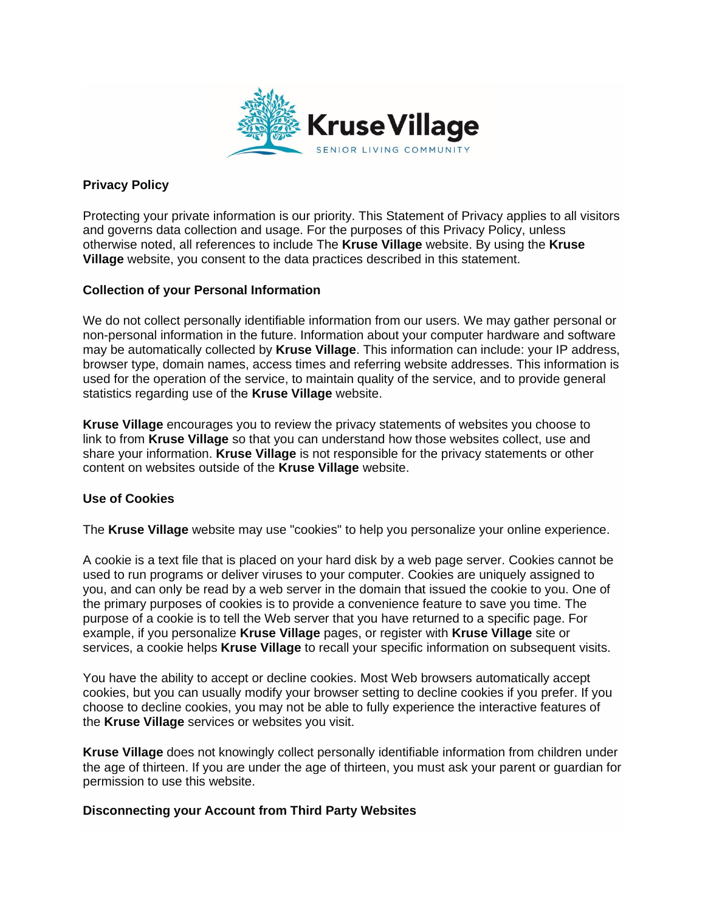

# **Privacy Policy**

Protecting your private information is our priority. This Statement of Privacy applies to all visitors and governs data collection and usage. For the purposes of this Privacy Policy, unless otherwise noted, all references to include The **Kruse Village** website. By using the **Kruse Village** website, you consent to the data practices described in this statement.

## **Collection of your Personal Information**

We do not collect personally identifiable information from our users. We may gather personal or non-personal information in the future. Information about your computer hardware and software may be automatically collected by **Kruse Village**. This information can include: your IP address, browser type, domain names, access times and referring website addresses. This information is used for the operation of the service, to maintain quality of the service, and to provide general statistics regarding use of the **Kruse Village** website.

**Kruse Village** encourages you to review the privacy statements of websites you choose to link to from **Kruse Village** so that you can understand how those websites collect, use and share your information. **Kruse Village** is not responsible for the privacy statements or other content on websites outside of the **Kruse Village** website.

## **Use of Cookies**

The **Kruse Village** website may use "cookies" to help you personalize your online experience.

A cookie is a text file that is placed on your hard disk by a web page server. Cookies cannot be used to run programs or deliver viruses to your computer. Cookies are uniquely assigned to you, and can only be read by a web server in the domain that issued the cookie to you. One of the primary purposes of cookies is to provide a convenience feature to save you time. The purpose of a cookie is to tell the Web server that you have returned to a specific page. For example, if you personalize **Kruse Village** pages, or register with **Kruse Village** site or services, a cookie helps **Kruse Village** to recall your specific information on subsequent visits.

You have the ability to accept or decline cookies. Most Web browsers automatically accept cookies, but you can usually modify your browser setting to decline cookies if you prefer. If you choose to decline cookies, you may not be able to fully experience the interactive features of the **Kruse Village** services or websites you visit.

**Kruse Village** does not knowingly collect personally identifiable information from children under the age of thirteen. If you are under the age of thirteen, you must ask your parent or guardian for permission to use this website.

## **Disconnecting your Account from Third Party Websites**